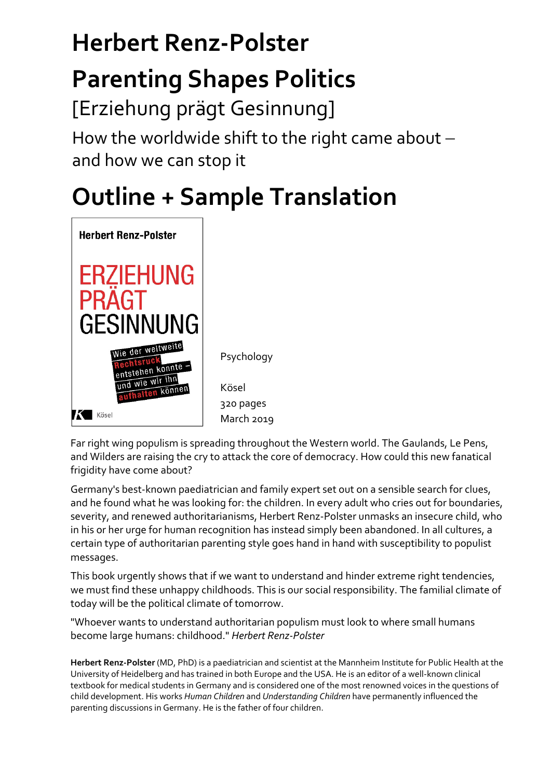# **Herbert Renz‐Polster**

### **Parenting Shapes Politics**

[Erziehung prägt Gesinnung]

How the worldwide shift to the right came about  $$ and how we can stop it

## **Outline + Sample Translation**



Psychology

Kösel 320 pages March 2019

Far right wing populism is spreading throughout the Western world. The Gaulands, Le Pens, and Wilders are raising the cry to attack the core of democracy. How could this new fanatical frigidity have come about?

Germany's best-known paediatrician and family expert set out on a sensible search for clues, and he found what he was looking for: the children. In every adult who cries out for boundaries, severity, and renewed authoritarianisms, Herbert Renz‐Polster unmasks an insecure child, who in his or her urge for human recognition has instead simply been abandoned. In all cultures, a certain type of authoritarian parenting style goes hand in hand with susceptibility to populist messages.

This book urgently shows that if we want to understand and hinder extreme right tendencies, we must find these unhappy childhoods. This is our social responsibility. The familial climate of today will be the political climate of tomorrow.

"Whoever wants to understand authoritarian populism must look to where small humans become large humans: childhood." *Herbert Renz‐Polster*

**Herbert Renz‐Polster** (MD, PhD) is a paediatrician and scientist at the Mannheim Institute for Public Health at the University of Heidelberg and has trained in both Europe and the USA. He is an editor of a well‐known clinical textbook for medical students in Germany and is considered one of the most renowned voices in the questions of child development. His works *Human Children* and *Understanding Children* have permanently influenced the parenting discussions in Germany. He is the father of four children.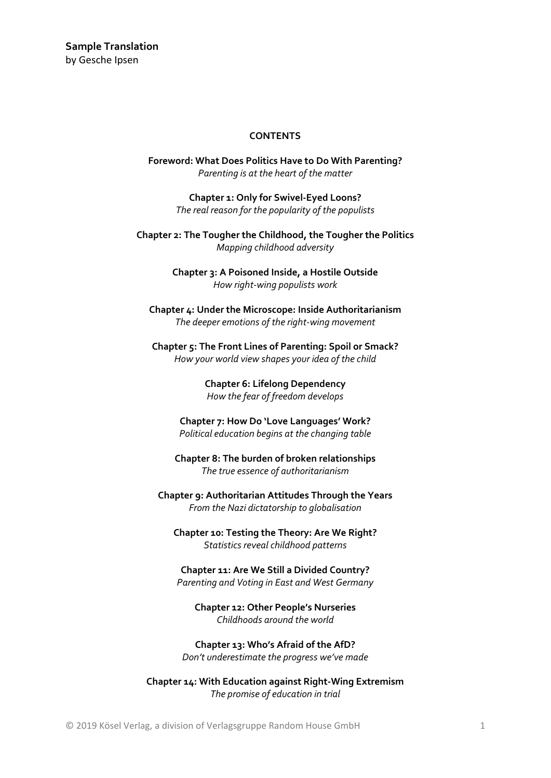#### **CONTENTS**

**Foreword: What Does Politics Have to Do With Parenting?** *Parenting is at the heart of the matter*

> **Chapter 1: Only for Swivel‐Eyed Loons?** *The real reason for the popularity of the populists*

**Chapter 2: The Tougher the Childhood, the Tougher the Politics** *Mapping childhood adversity*

> **Chapter 3: A Poisoned Inside, a Hostile Outside** *How right‐wing populists work*

**Chapter 4: Under the Microscope: Inside Authoritarianism** *The deeper emotions of the right‐wing movement*

**Chapter 5: The Front Lines of Parenting: Spoil or Smack?** *How your world view shapes your idea of the child*

> **Chapter 6: Lifelong Dependency** *How the fear of freedom develops*

**Chapter 7: How Do 'Love Languages' Work?** *Political education begins at the changing table*

**Chapter 8: The burden of broken relationships** *The true essence of authoritarianism*

**Chapter 9: Authoritarian Attitudes Through the Years** *From the Nazi dictatorship to globalisation*

**Chapter 10: Testing the Theory: Are We Right?** *Statistics reveal childhood patterns*

**Chapter 11: Are We Still a Divided Country?** *Parenting and Voting in East and West Germany*

**Chapter 12: Other People's Nurseries** *Childhoods around the world*

**Chapter 13: Who's Afraid of the AfD?** *Don't underestimate the progress we've made*

**Chapter 14: With Education against Right‐Wing Extremism** *The promise of education in trial*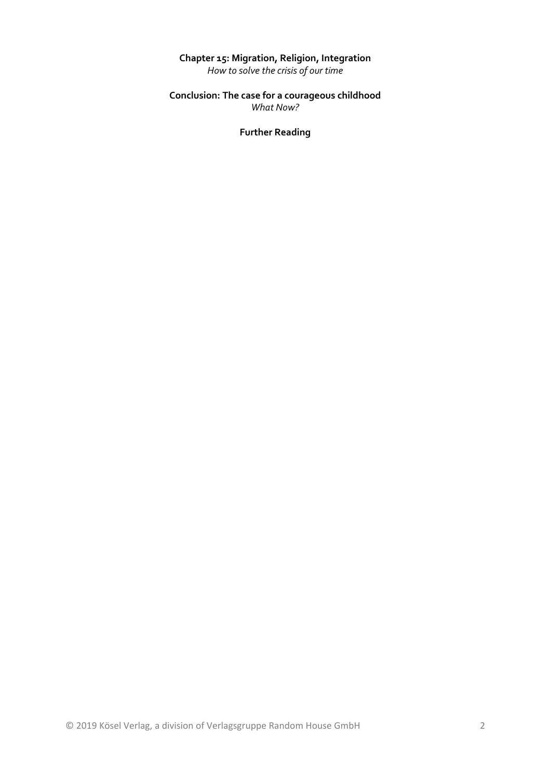#### **Chapter 15: Migration, Religion, Integration**

*How to solve the crisis of our time*

#### **Conclusion: The case for a courageous childhood** *What Now?*

**Further Reading**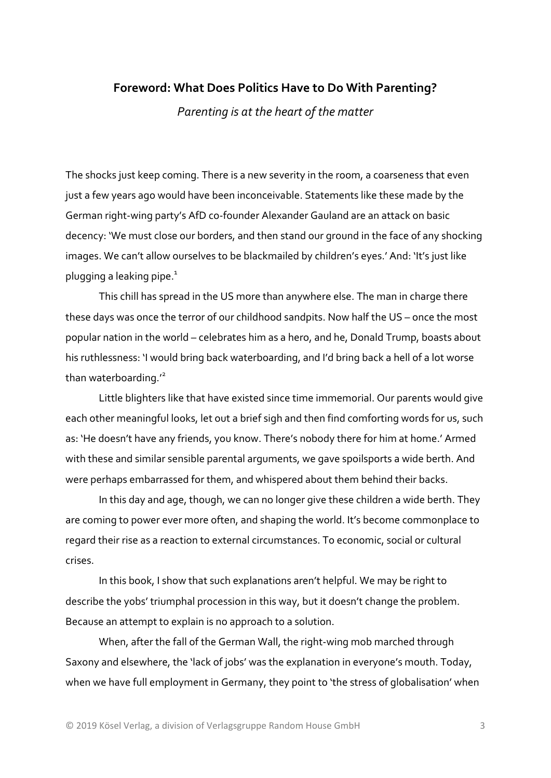#### **Foreword: What Does Politics Have to Do With Parenting?**

*Parenting is at the heart of the matter*

The shocks just keep coming. There is a new severity in the room, a coarseness that even just a few years ago would have been inconceivable. Statements like these made by the German right‐wing party's AfD co‐founder Alexander Gauland are an attack on basic decency: 'We must close our borders, and then stand our ground in the face of any shocking images. We can't allow ourselves to be blackmailed by children's eyes.' And: 'It's just like plugging a leaking pipe. $1$ 

This chill has spread in the US more than anywhere else. The man in charge there these days was once the terror of our childhood sandpits. Now half the US – once the most popular nation in the world – celebrates him as a hero, and he, Donald Trump, boasts about his ruthlessness: 'I would bring back waterboarding, and I'd bring back a hell of a lot worse than waterboarding.<sup>'2</sup>

Little blighters like that have existed since time immemorial. Our parents would give each other meaningful looks, let out a brief sigh and then find comforting words for us, such as: 'He doesn't have any friends, you know. There's nobody there for him at home.' Armed with these and similar sensible parental arguments, we gave spoilsports a wide berth. And were perhaps embarrassed for them, and whispered about them behind their backs.

In this day and age, though, we can no longer give these children a wide berth. They are coming to power ever more often, and shaping the world. It's become commonplace to regard their rise as a reaction to external circumstances. To economic, social or cultural crises.

In this book, I show that such explanations aren't helpful. We may be right to describe the yobs' triumphal procession in this way, but it doesn't change the problem. Because an attempt to explain is no approach to a solution.

When, after the fall of the German Wall, the right-wing mob marched through Saxony and elsewhere, the 'lack of jobs' was the explanation in everyone's mouth. Today, when we have full employment in Germany, they point to 'the stress of globalisation' when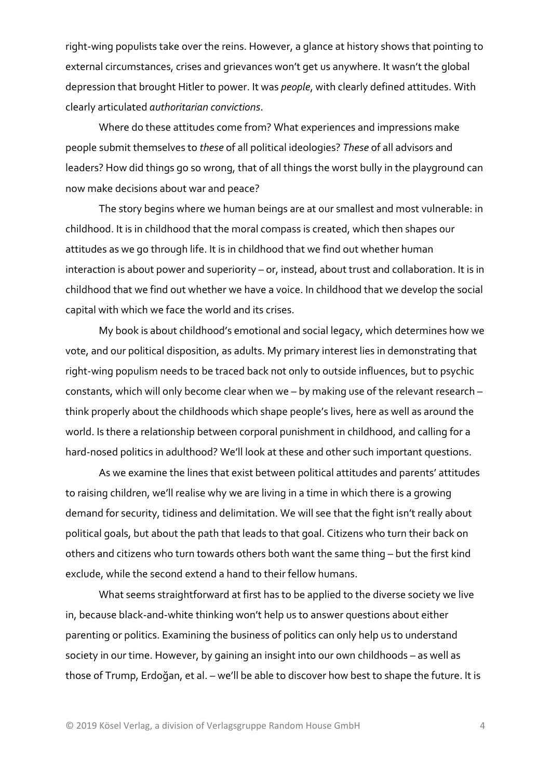right‐wing populists take over the reins. However, a glance at history shows that pointing to external circumstances, crises and grievances won't get us anywhere. It wasn't the global depression that brought Hitler to power. It was *people*, with clearly defined attitudes. With clearly articulated *authoritarian convictions*.

Where do these attitudes come from? What experiences and impressions make people submit themselves to *these* of all political ideologies? *These* of all advisors and leaders? How did things go so wrong, that of all things the worst bully in the playground can now make decisions about war and peace?

The story begins where we human beings are at our smallest and most vulnerable: in childhood. It is in childhood that the moral compass is created, which then shapes our attitudes as we go through life. It is in childhood that we find out whether human interaction is about power and superiority – or, instead, about trust and collaboration. It is in childhood that we find out whether we have a voice. In childhood that we develop the social capital with which we face the world and its crises.

My book is about childhood's emotional and social legacy, which determines how we vote, and our political disposition, as adults. My primary interest lies in demonstrating that right‐wing populism needs to be traced back not only to outside influences, but to psychic constants, which will only become clear when we – by making use of the relevant research – think properly about the childhoods which shape people's lives, here as well as around the world. Is there a relationship between corporal punishment in childhood, and calling for a hard-nosed politics in adulthood? We'll look at these and other such important questions.

As we examine the lines that exist between political attitudes and parents' attitudes to raising children, we'll realise why we are living in a time in which there is a growing demand for security, tidiness and delimitation. We will see that the fight isn't really about political goals, but about the path that leads to that goal. Citizens who turn their back on others and citizens who turn towards others both want the same thing – but the first kind exclude, while the second extend a hand to their fellow humans.

What seems straightforward at first has to be applied to the diverse society we live in, because black‐and‐white thinking won't help us to answer questions about either parenting or politics. Examining the business of politics can only help us to understand society in our time. However, by gaining an insight into our own childhoods – as well as those of Trump, Erdoğan, et al. – we'll be able to discover how best to shape the future. It is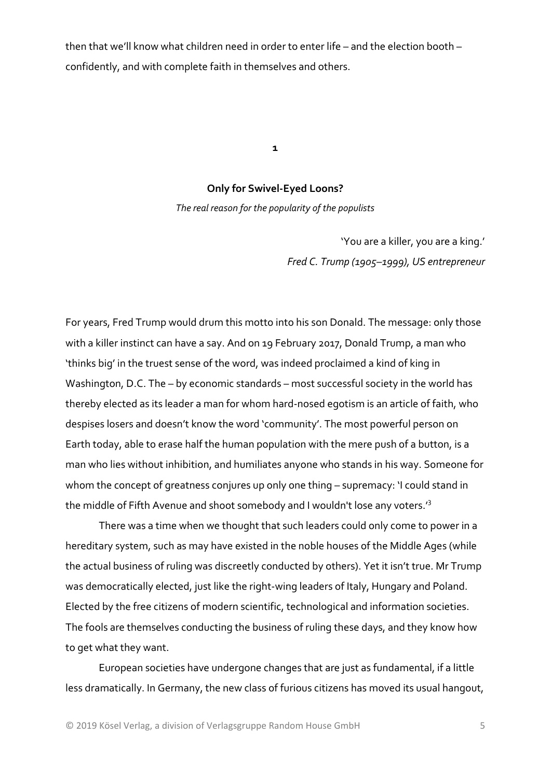then that we'll know what children need in order to enter life – and the election booth – confidently, and with complete faith in themselves and others.

**1**

#### **Only for Swivel‐Eyed Loons?**

*The real reason for the popularity of the populists*

'You are a killer, you are a king.' *Fred C. Trump (1905–1999), US entrepreneur*

For years, Fred Trump would drum this motto into his son Donald. The message: only those with a killer instinct can have a say. And on 19 February 2017, Donald Trump, a man who 'thinks big' in the truest sense of the word, was indeed proclaimed a kind of king in Washington, D.C. The – by economic standards – most successful society in the world has thereby elected as its leader a man for whom hard‐nosed egotism is an article of faith, who despises losers and doesn't know the word 'community'. The most powerful person on Earth today, able to erase half the human population with the mere push of a button, is a man who lies without inhibition, and humiliates anyone who stands in his way. Someone for whom the concept of greatness conjures up only one thing – supremacy: 'I could stand in the middle of Fifth Avenue and shoot somebody and I wouldn't lose any voters.'3

There was a time when we thought that such leaders could only come to power in a hereditary system, such as may have existed in the noble houses of the Middle Ages (while the actual business of ruling was discreetly conducted by others). Yet it isn't true. Mr Trump was democratically elected, just like the right‐wing leaders of Italy, Hungary and Poland. Elected by the free citizens of modern scientific, technological and information societies. The fools are themselves conducting the business of ruling these days, and they know how to get what they want.

European societies have undergone changes that are just as fundamental, if a little less dramatically. In Germany, the new class of furious citizens has moved its usual hangout,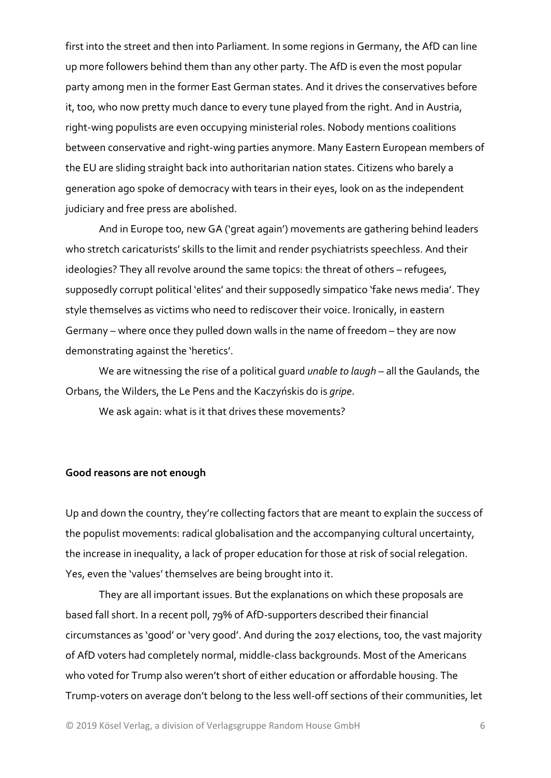first into the street and then into Parliament. In some regions in Germany, the AfD can line up more followers behind them than any other party. The AfD is even the most popular party among men in the former East German states. And it drives the conservatives before it, too, who now pretty much dance to every tune played from the right. And in Austria, right‐wing populists are even occupying ministerial roles. Nobody mentions coalitions between conservative and right-wing parties anymore. Many Eastern European members of the EU are sliding straight back into authoritarian nation states. Citizens who barely a generation ago spoke of democracy with tears in their eyes, look on as the independent judiciary and free press are abolished.

And in Europe too, new GA ('great again') movements are gathering behind leaders who stretch caricaturists' skills to the limit and render psychiatrists speechless. And their ideologies? They all revolve around the same topics: the threat of others – refugees, supposedly corrupt political 'elites' and their supposedly simpatico 'fake news media'. They style themselves as victims who need to rediscover their voice. Ironically, in eastern Germany – where once they pulled down walls in the name of freedom – they are now demonstrating against the 'heretics'.

We are witnessing the rise of a political guard *unable to laugh* – all the Gaulands, the Orbans, the Wilders, the Le Pens and the Kaczyńskis do is *gripe*.

We ask again: what is it that drives these movements?

#### **Good reasons are not enough**

Up and down the country, they're collecting factors that are meant to explain the success of the populist movements: radical globalisation and the accompanying cultural uncertainty, the increase in inequality, a lack of proper education for those at risk of social relegation. Yes, even the 'values' themselves are being brought into it.

They are all important issues. But the explanations on which these proposals are based fall short. In a recent poll, 79% of AfD‐supporters described their financial circumstances as 'good' or 'very good'. And during the 2017 elections, too, the vast majority of AfD voters had completely normal, middle‐class backgrounds. Most of the Americans who voted for Trump also weren't short of either education or affordable housing. The Trump‐voters on average don't belong to the less well‐off sections of their communities, let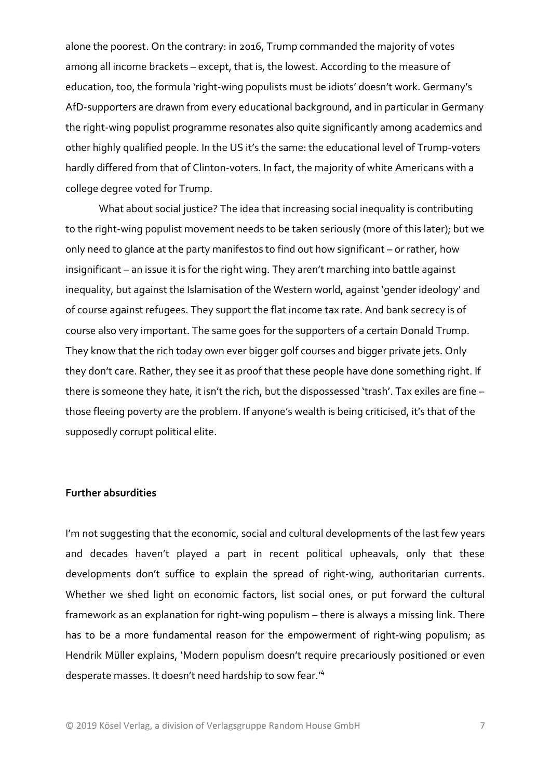alone the poorest. On the contrary: in 2016, Trump commanded the majority of votes among all income brackets – except, that is, the lowest. According to the measure of education, too, the formula 'right-wing populists must be idiots' doesn't work. Germany's AfD‐supporters are drawn from every educational background, and in particular in Germany the right-wing populist programme resonates also quite significantly among academics and other highly qualified people. In the US it's the same: the educational level of Trump‐voters hardly differed from that of Clinton‐voters. In fact, the majority of white Americans with a college degree voted for Trump.

What about social justice? The idea that increasing social inequality is contributing to the right-wing populist movement needs to be taken seriously (more of this later); but we only need to glance at the party manifestos to find out how significant – or rather, how insignificant – an issue it is for the right wing. They aren't marching into battle against inequality, but against the Islamisation of the Western world, against 'gender ideology' and of course against refugees. They support the flat income tax rate. And bank secrecy is of course also very important. The same goes for the supporters of a certain Donald Trump. They know that the rich today own ever bigger golf courses and bigger private jets. Only they don't care. Rather, they see it as proof that these people have done something right. If there is someone they hate, it isn't the rich, but the dispossessed 'trash'. Tax exiles are fine – those fleeing poverty are the problem. If anyone's wealth is being criticised, it's that of the supposedly corrupt political elite.

#### **Further absurdities**

I'm not suggesting that the economic, social and cultural developments of the last few years and decades haven't played a part in recent political upheavals, only that these developments don't suffice to explain the spread of right-wing, authoritarian currents. Whether we shed light on economic factors, list social ones, or put forward the cultural framework as an explanation for right-wing populism – there is always a missing link. There has to be a more fundamental reason for the empowerment of right-wing populism; as Hendrik Müller explains, 'Modern populism doesn't require precariously positioned or even desperate masses. It doesn't need hardship to sow fear.'4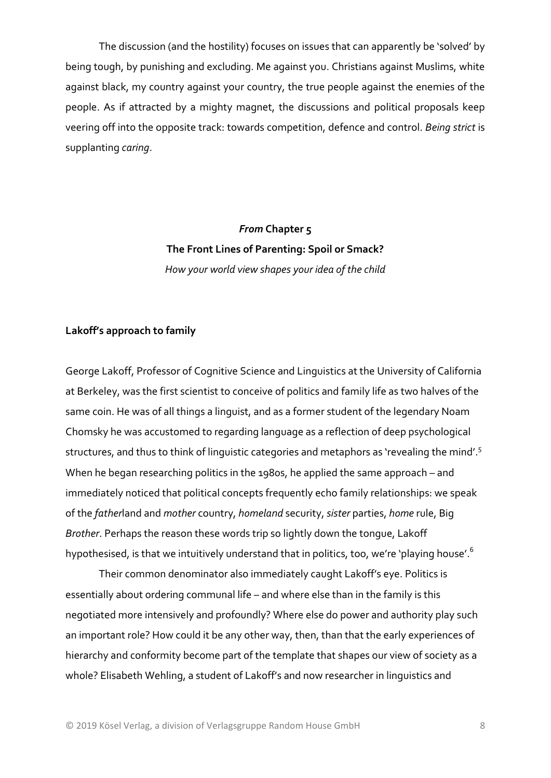The discussion (and the hostility) focuses on issues that can apparently be 'solved' by being tough, by punishing and excluding. Me against you. Christians against Muslims, white against black, my country against your country, the true people against the enemies of the people. As if attracted by a mighty magnet, the discussions and political proposals keep veering off into the opposite track: towards competition, defence and control. *Being strict* is supplanting *caring*.

### *From* **Chapter 5 The Front Lines of Parenting: Spoil or Smack?** *How your world view shapes your idea of the child*

#### **Lakoff's approach to family**

George Lakoff, Professor of Cognitive Science and Linguistics at the University of California at Berkeley, was the first scientist to conceive of politics and family life as two halves of the same coin. He was of all things a linguist, and as a former student of the legendary Noam Chomsky he was accustomed to regarding language as a reflection of deep psychological structures, and thus to think of linguistic categories and metaphors as 'revealing the mind'.<sup>5</sup> When he began researching politics in the 1980s, he applied the same approach – and immediately noticed that political concepts frequently echo family relationships: we speak of the *father*land and *mother* country, *homeland* security, *sister* parties, *home* rule, Big *Brother*. Perhaps the reason these words trip so lightly down the tongue, Lakoff hypothesised, is that we intuitively understand that in politics, too, we're 'playing house'.<sup>6</sup>

Their common denominator also immediately caught Lakoff's eye. Politics is essentially about ordering communal life – and where else than in the family is this negotiated more intensively and profoundly? Where else do power and authority play such an important role? How could it be any other way, then, than that the early experiences of hierarchy and conformity become part of the template that shapes our view of society as a whole? Elisabeth Wehling, a student of Lakoff's and now researcher in linguistics and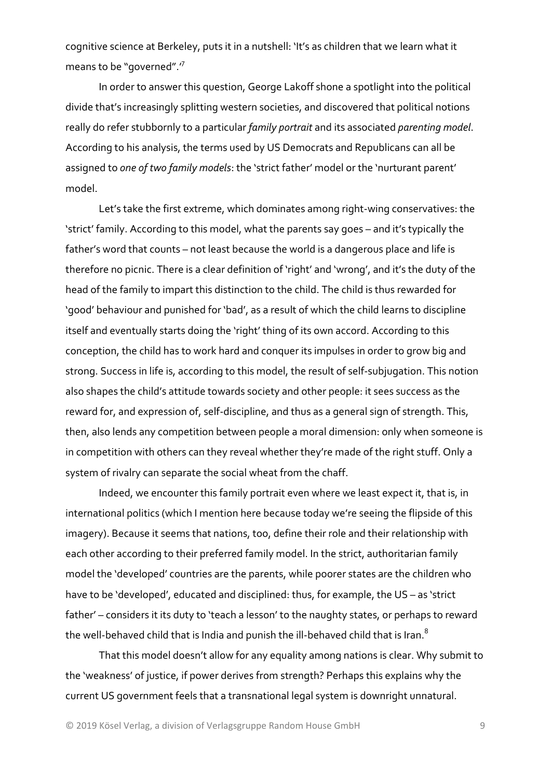cognitive science at Berkeley, puts it in a nutshell: 'It's as children that we learn what it means to be "governed".'7

In order to answer this question, George Lakoff shone a spotlight into the political divide that's increasingly splitting western societies, and discovered that political notions really do refer stubbornly to a particular *family portrait* and its associated *parenting model*. According to his analysis, the terms used by US Democrats and Republicans can all be assigned to *one of two family models*: the 'strict father' model or the 'nurturant parent' model.

Let's take the first extreme, which dominates among right-wing conservatives: the 'strict' family. According to this model, what the parents say goes – and it's typically the father's word that counts – not least because the world is a dangerous place and life is therefore no picnic. There is a clear definition of 'right' and 'wrong', and it's the duty of the head of the family to impart this distinction to the child. The child is thus rewarded for 'good' behaviour and punished for 'bad', as a result of which the child learns to discipline itself and eventually starts doing the 'right' thing of its own accord. According to this conception, the child has to work hard and conquer its impulses in order to grow big and strong. Success in life is, according to this model, the result of self‐subjugation. This notion also shapes the child's attitude towards society and other people: it sees success as the reward for, and expression of, self-discipline, and thus as a general sign of strength. This, then, also lends any competition between people a moral dimension: only when someone is in competition with others can they reveal whether they're made of the right stuff. Only a system of rivalry can separate the social wheat from the chaff.

Indeed, we encounter this family portrait even where we least expect it, that is, in international politics (which I mention here because today we're seeing the flipside of this imagery). Because it seems that nations, too, define their role and their relationship with each other according to their preferred family model. In the strict, authoritarian family model the 'developed' countries are the parents, while poorer states are the children who have to be 'developed', educated and disciplined: thus, for example, the US – as 'strict father' – considers it its duty to 'teach a lesson' to the naughty states, or perhaps to reward the well-behaved child that is India and punish the ill-behaved child that is Iran.<sup>8</sup>

That this model doesn't allow for any equality among nations is clear. Why submit to the 'weakness' of justice, if power derives from strength? Perhaps this explains why the current US government feels that a transnational legal system is downright unnatural.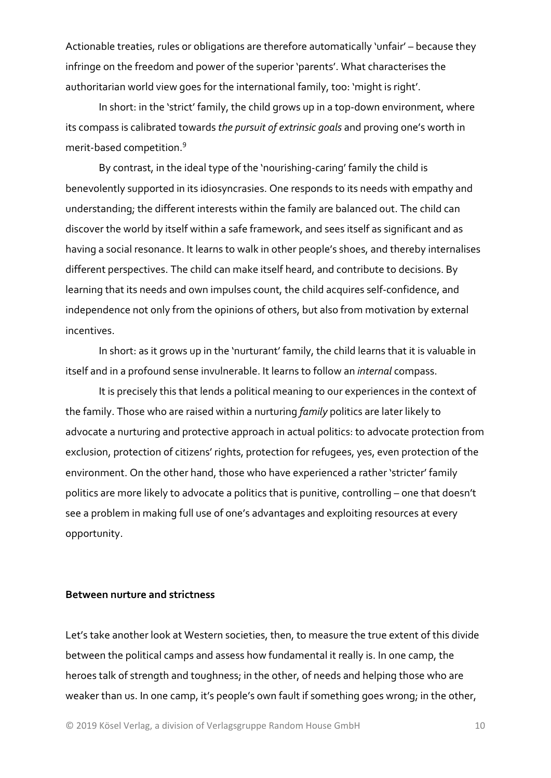Actionable treaties, rules or obligations are therefore automatically 'unfair' – because they infringe on the freedom and power of the superior 'parents'. What characterises the authoritarian world view goes for the international family, too: 'might is right'.

In short: in the 'strict' family, the child grows up in a top-down environment, where its compass is calibrated towards *the pursuit of extrinsic goals* and proving one's worth in merit‐based competition.<sup>9</sup>

By contrast, in the ideal type of the 'nourishing‐caring' family the child is benevolently supported in its idiosyncrasies. One responds to its needs with empathy and understanding; the different interests within the family are balanced out. The child can discover the world by itself within a safe framework, and sees itself as significant and as having a social resonance. It learns to walk in other people's shoes, and thereby internalises different perspectives. The child can make itself heard, and contribute to decisions. By learning that its needs and own impulses count, the child acquires self‐confidence, and independence not only from the opinions of others, but also from motivation by external incentives.

In short: as it grows up in the 'nurturant' family, the child learns that it is valuable in itself and in a profound sense invulnerable. It learns to follow an *internal* compass.

It is precisely this that lends a political meaning to our experiences in the context of the family. Those who are raised within a nurturing *family* politics are later likely to advocate a nurturing and protective approach in actual politics: to advocate protection from exclusion, protection of citizens' rights, protection for refugees, yes, even protection of the environment. On the other hand, those who have experienced a rather 'stricter' family politics are more likely to advocate a politics that is punitive, controlling – one that doesn't see a problem in making full use of one's advantages and exploiting resources at every opportunity.

#### **Between nurture and strictness**

Let's take another look at Western societies, then, to measure the true extent of this divide between the political camps and assess how fundamental it really is. In one camp, the heroes talk of strength and toughness; in the other, of needs and helping those who are weaker than us. In one camp, it's people's own fault if something goes wrong; in the other,

© 2019 Kösel Verlag, a division of Verlagsgruppe Random House GmbH 10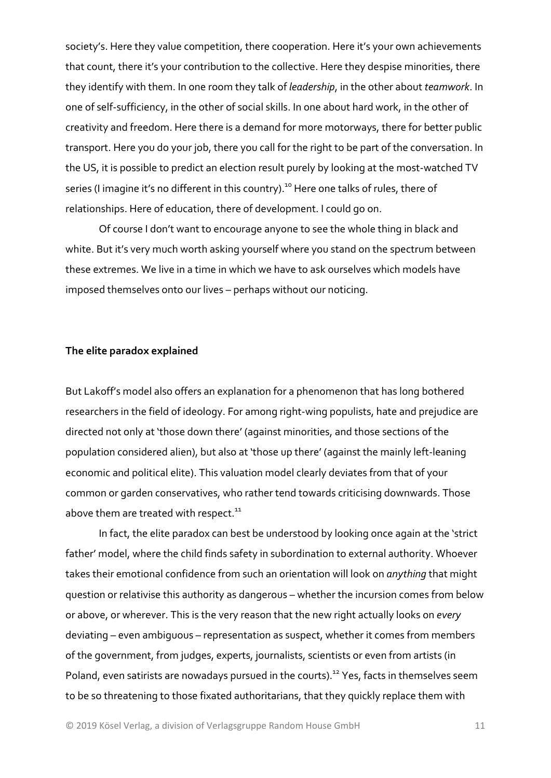society's. Here they value competition, there cooperation. Here it's your own achievements that count, there it's your contribution to the collective. Here they despise minorities, there they identify with them. In one room they talk of *leadership*, in the other about *teamwork*. In one of self‐sufficiency, in the other of social skills. In one about hard work, in the other of creativity and freedom. Here there is a demand for more motorways, there for better public transport. Here you do your job, there you call for the right to be part of the conversation. In the US, it is possible to predict an election result purely by looking at the most‐watched TV series (I imagine it's no different in this country).<sup>10</sup> Here one talks of rules, there of relationships. Here of education, there of development. I could go on.

Of course I don't want to encourage anyone to see the whole thing in black and white. But it's very much worth asking yourself where you stand on the spectrum between these extremes. We live in a time in which we have to ask ourselves which models have imposed themselves onto our lives – perhaps without our noticing.

#### **The elite paradox explained**

But Lakoff's model also offers an explanation for a phenomenon that has long bothered researchers in the field of ideology. For among right‐wing populists, hate and prejudice are directed not only at 'those down there' (against minorities, and those sections of the population considered alien), but also at 'those up there' (against the mainly left‐leaning economic and political elite). This valuation model clearly deviates from that of your common or garden conservatives, who rather tend towards criticising downwards. Those above them are treated with respect.<sup>11</sup>

In fact, the elite paradox can best be understood by looking once again at the 'strict father' model, where the child finds safety in subordination to external authority. Whoever takes their emotional confidence from such an orientation will look on *anything* that might question or relativise this authority as dangerous – whether the incursion comes from below or above, or wherever. This is the very reason that the new right actually looks on *every* deviating – even ambiguous – representation as suspect, whether it comes from members of the government, from judges, experts, journalists, scientists or even from artists (in Poland, even satirists are nowadays pursued in the courts).<sup>12</sup> Yes, facts in themselves seem to be so threatening to those fixated authoritarians, that they quickly replace them with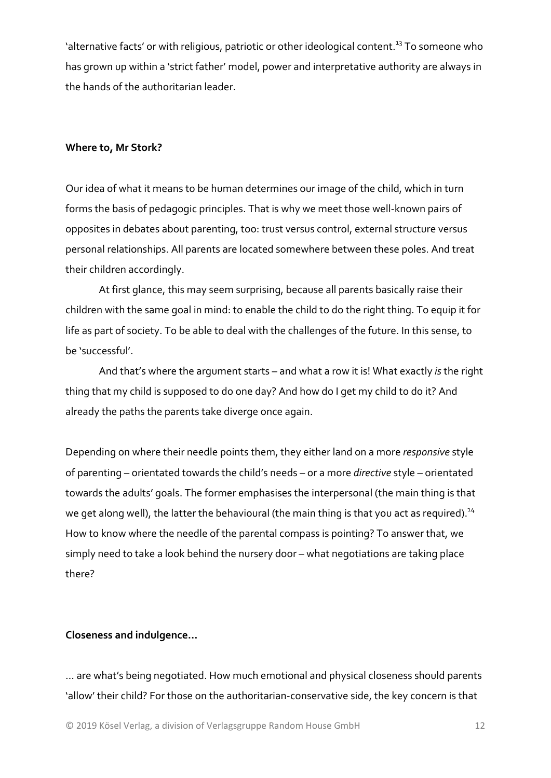'alternative facts' or with religious, patriotic or other ideological content.<sup>13</sup> To someone who has grown up within a 'strict father' model, power and interpretative authority are always in the hands of the authoritarian leader.

#### **Where to, Mr Stork?**

Our idea of what it means to be human determines our image of the child, which in turn forms the basis of pedagogic principles. That is why we meet those well‐known pairs of opposites in debates about parenting, too: trust versus control, external structure versus personal relationships. All parents are located somewhere between these poles. And treat their children accordingly.

At first glance, this may seem surprising, because all parents basically raise their children with the same goal in mind: to enable the child to do the right thing. To equip it for life as part of society. To be able to deal with the challenges of the future. In this sense, to be 'successful'.

And that's where the argument starts – and what a row it is! What exactly *is* the right thing that my child is supposed to do one day? And how do I get my child to do it? And already the paths the parents take diverge once again.

Depending on where their needle points them, they either land on a more *responsive* style of parenting – orientated towards the child's needs – or a more *directive* style – orientated towards the adults' goals. The former emphasises the interpersonal (the main thing is that we get along well), the latter the behavioural (the main thing is that you act as required).<sup>14</sup> How to know where the needle of the parental compass is pointing? To answer that, we simply need to take a look behind the nursery door – what negotiations are taking place there?

#### **Closeness and indulgence…**

… are what's being negotiated. How much emotional and physical closeness should parents 'allow' their child? For those on the authoritarian‐conservative side, the key concern is that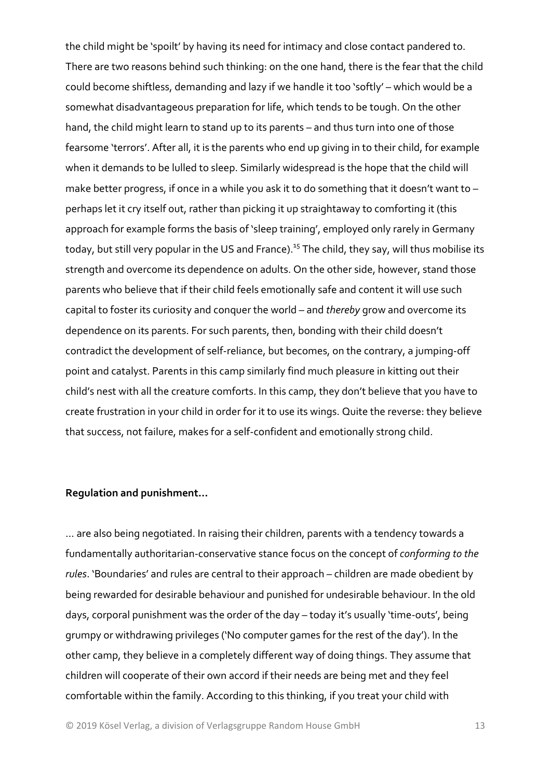the child might be 'spoilt' by having its need for intimacy and close contact pandered to. There are two reasons behind such thinking: on the one hand, there is the fear that the child could become shiftless, demanding and lazy if we handle it too 'softly' – which would be a somewhat disadvantageous preparation for life, which tends to be tough. On the other hand, the child might learn to stand up to its parents – and thus turn into one of those fearsome 'terrors'. After all, it is the parents who end up giving in to their child, for example when it demands to be lulled to sleep. Similarly widespread is the hope that the child will make better progress, if once in a while you ask it to do something that it doesn't want to – perhaps let it cry itself out, rather than picking it up straightaway to comforting it (this approach for example forms the basis of 'sleep training', employed only rarely in Germany today, but still very popular in the US and France).<sup>15</sup> The child, they say, will thus mobilise its strength and overcome its dependence on adults. On the other side, however, stand those parents who believe that if their child feels emotionally safe and content it will use such capital to foster its curiosity and conquer the world – and *thereby* grow and overcome its dependence on its parents. For such parents, then, bonding with their child doesn't contradict the development of self‐reliance, but becomes, on the contrary, a jumping‐off point and catalyst. Parents in this camp similarly find much pleasure in kitting out their child's nest with all the creature comforts. In this camp, they don't believe that you have to create frustration in your child in order for it to use its wings. Quite the reverse: they believe that success, not failure, makes for a self‐confident and emotionally strong child.

#### **Regulation and punishment…**

… are also being negotiated. In raising their children, parents with a tendency towards a fundamentally authoritarian‐conservative stance focus on the concept of *conforming to the rules*. 'Boundaries' and rules are central to their approach – children are made obedient by being rewarded for desirable behaviour and punished for undesirable behaviour. In the old days, corporal punishment was the order of the day – today it's usually 'time‐outs', being grumpy or withdrawing privileges ('No computer games for the rest of the day'). In the other camp, they believe in a completely different way of doing things. They assume that children will cooperate of their own accord if their needs are being met and they feel comfortable within the family. According to this thinking, if you treat your child with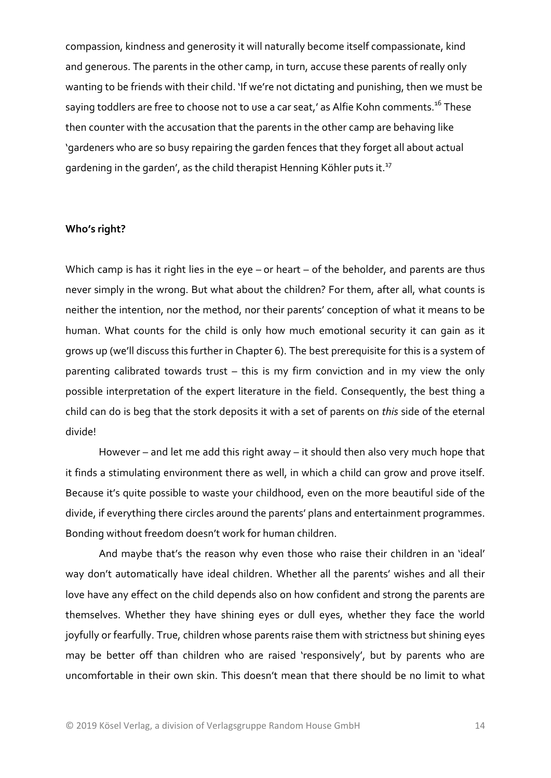compassion, kindness and generosity it will naturally become itself compassionate, kind and generous. The parents in the other camp, in turn, accuse these parents of really only wanting to be friends with their child. 'If we're not dictating and punishing, then we must be saying toddlers are free to choose not to use a car seat,' as Alfie Kohn comments.<sup>16</sup> These then counter with the accusation that the parents in the other camp are behaving like 'gardeners who are so busy repairing the garden fences that they forget all about actual gardening in the garden', as the child therapist Henning Köhler puts it.<sup>17</sup>

#### **Who's right?**

Which camp is has it right lies in the eye – or heart – of the beholder, and parents are thus never simply in the wrong. But what about the children? For them, after all, what counts is neither the intention, nor the method, nor their parents' conception of what it means to be human. What counts for the child is only how much emotional security it can gain as it grows up (we'll discuss this further in Chapter 6). The best prerequisite for this is a system of parenting calibrated towards trust – this is my firm conviction and in my view the only possible interpretation of the expert literature in the field. Consequently, the best thing a child can do is beg that the stork deposits it with a set of parents on *this* side of the eternal divide!

However – and let me add this right away – it should then also very much hope that it finds a stimulating environment there as well, in which a child can grow and prove itself. Because it's quite possible to waste your childhood, even on the more beautiful side of the divide, if everything there circles around the parents' plans and entertainment programmes. Bonding without freedom doesn't work for human children.

And maybe that's the reason why even those who raise their children in an 'ideal' way don't automatically have ideal children. Whether all the parents' wishes and all their love have any effect on the child depends also on how confident and strong the parents are themselves. Whether they have shining eyes or dull eyes, whether they face the world joyfully or fearfully. True, children whose parents raise them with strictness but shining eyes may be better off than children who are raised 'responsively', but by parents who are uncomfortable in their own skin. This doesn't mean that there should be no limit to what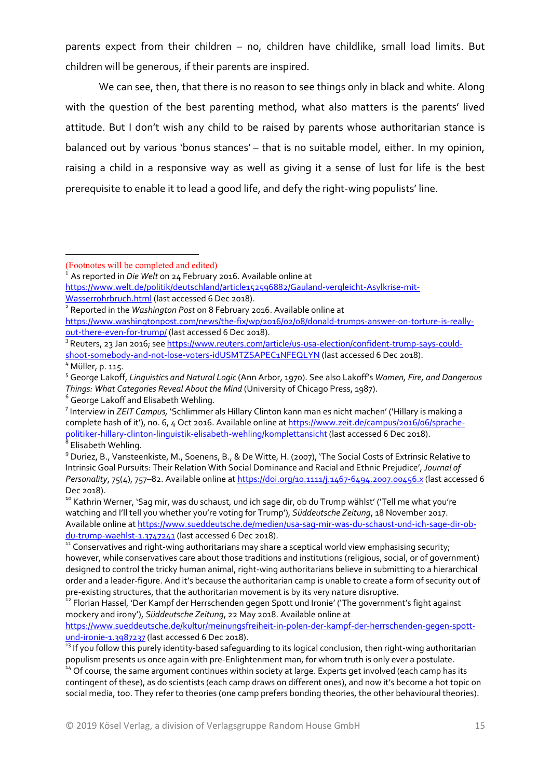parents expect from their children – no, children have childlike, small load limits. But children will be generous, if their parents are inspired.

We can see, then, that there is no reason to see things only in black and white. Along with the question of the best parenting method, what also matters is the parents' lived attitude. But I don't wish any child to be raised by parents whose authoritarian stance is balanced out by various 'bonus stances' – that is no suitable model, either. In my opinion, raising a child in a responsive way as well as giving it a sense of lust for life is the best prerequisite to enable it to lead a good life, and defy the right‐wing populists' line.

- <sup>1</sup> As reported in *Die Welt* on 24 February 2016. Available online at
- https://www.welt.de/politik/deutschland/article152596882/Gauland-vergleicht-Asylkrise-mit-

Wasserrohrbruch.html (last accessed 6 Dec 2018).<br><sup>2</sup> Reported in the *Washington Post* on 8 February 2016. Available online at

<sup>3</sup> Reuters, 23 Jan 2016; see https://www.reuters.com/article/us-usa-election/confident-trump-says-could-<br>shoot-somebody-and-not-lose-voters-idUSMTZSAPEC1NFEQLYN (last accessed 6 Dec 2018).

watching and I'll tell you whether you're voting for Trump'), *Süddeutsche Zeitung*, 18 November 2017. Available online at https://www.sueddeutsche.de/medien/usa-sag-mir-was-du-schaust-und-ich-sage-dir-ob-<br>du-trump-waehlst-1.3747241 (last accessed 6 Dec 2018).

 $14$  Of course, the same argument continues within society at large. Experts get involved (each camp has its contingent of these), as do scientists (each camp draws on different ones), and now it's become a hot topic on social media, too. They refer to theories (one camp prefers bonding theories, the other behavioural theories).

<sup>(</sup>Footnotes will be completed and edited)

https://www.washingtonpost.com/news/the-fix/wp/2016/02/08/donald-trumps-answer-on-torture-is-reallyout-there-even-for-trump/ (last accessed 6 Dec 2018).

<sup>&</sup>lt;sup>4</sup> Müller, p. 115.<br><sup>5</sup> George Lakoff, *Linguistics and Natural Logic* (Ann Arbor, 1970). See also Lakoff's *Women, Fire, and Dangerous Things: What Categories Reveal About the Mind (University of Chicago Press, 1987).* <sup>6</sup> George Lakoff and Elisabeth Wehling.

Interview in *ZEIT Campus,* 'Schlimmer als Hillary Clinton kann man es nicht machen' ('Hillary is making a complete hash of it'), no. 6, 4 Oct 2016. Available online at https://www.zeit.de/campus/2016/06/sprache-<br>politiker-hillary-clinton-linguistik-elisabeth-wehling/komplettansicht (last accessed 6 Dec 2018).

 $^8$  Elisabeth Wehling.<br><sup>9</sup> Duriez, B., Vansteenkiste, M., Soenens, B., & De Witte, H. (2007), 'The Social Costs of Extrinsic Relative to Intrinsic Goal Pursuits: Their Relation With Social Dominance and Racial and Ethnic Prejudice', *Journal of Personality*, 75(4), 757–82. Available online at https://doi.org/10.1111/j.1467‐6494.2007.00456.x (last accessed 6 Dec 2018).<br><sup>10</sup> Kathrin Werner, 'Sag mir, was du schaust, und ich sage dir, ob du Trump wählst' ('Tell me what you're

<sup>11</sup> Conservatives and right-wing authoritarians may share a sceptical world view emphasising security; however, while conservatives care about those traditions and institutions (religious, social, or of government) designed to control the tricky human animal, right‐wing authoritarians believe in submitting to a hierarchical order and a leader-figure. And it's because the authoritarian camp is unable to create a form of security out of<br>pre-existing structures, that the authoritarian movement is by its very nature disruptive.

<sup>12&</sup>lt;br>Portuan Hassel, 'Der Kampf der Herrschenden gegen Spott und Ironie' ('The government's fight against mockery and irony'), *Süddeutsche Zeitung*, 22 May 2018. Available online at

https://www.sueddeutsche.de/kultur/meinungsfreiheit-in-polen-der-kampf-der-herrschenden-gegen-spott-<br>und-ironie-1.3987237 (last accessed 6 Dec 2018).

<sup>&</sup>lt;sup>13</sup> If you follow this purely identity-based safeguarding to its logical conclusion, then right-wing authoritarian<br>populism presents us once again with pre-Enlightenment man, for whom truth is only ever a postulate.